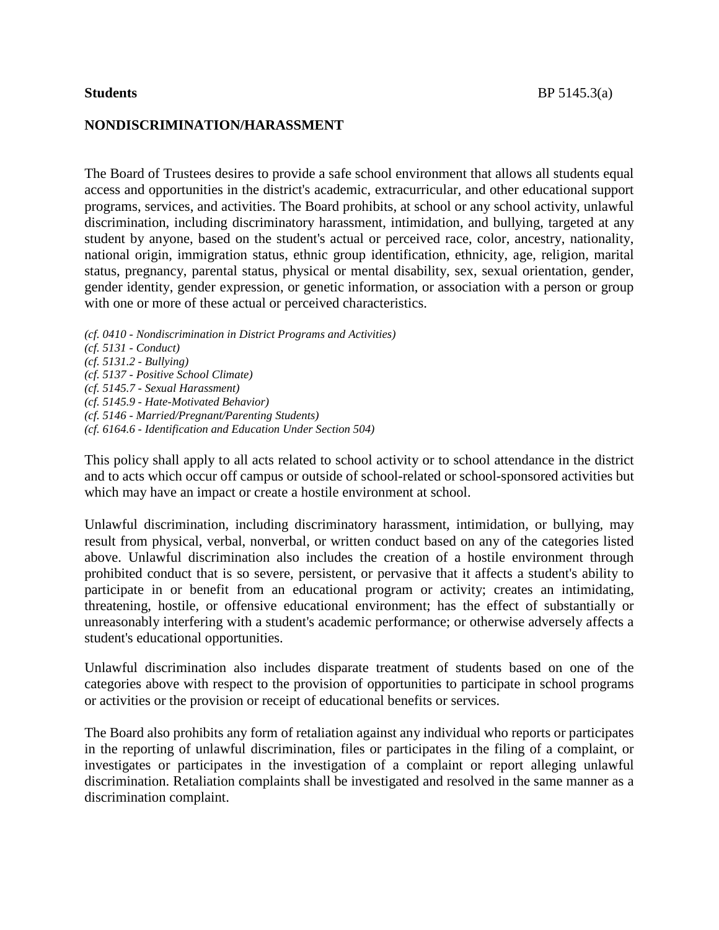#### **NONDISCRIMINATION/HARASSMENT**

The Board of Trustees desires to provide a safe school environment that allows all students equal access and opportunities in the district's academic, extracurricular, and other educational support programs, services, and activities. The Board prohibits, at school or any school activity, unlawful discrimination, including discriminatory harassment, intimidation, and bullying, targeted at any student by anyone, based on the student's actual or perceived race, color, ancestry, nationality, national origin, immigration status, ethnic group identification, ethnicity, age, religion, marital status, pregnancy, parental status, physical or mental disability, sex, sexual orientation, gender, gender identity, gender expression, or genetic information, or association with a person or group with one or more of these actual or perceived characteristics.

*(cf. 0410 - Nondiscrimination in District Programs and Activities) (cf. 5131 - Conduct) (cf. 5131.2 - Bullying) (cf. 5137 - Positive School Climate) (cf. 5145.7 - Sexual Harassment) (cf. 5145.9 - Hate-Motivated Behavior) (cf. 5146 - Married/Pregnant/Parenting Students) (cf. 6164.6 - Identification and Education Under Section 504)*

This policy shall apply to all acts related to school activity or to school attendance in the district and to acts which occur off campus or outside of school-related or school-sponsored activities but which may have an impact or create a hostile environment at school.

Unlawful discrimination, including discriminatory harassment, intimidation, or bullying, may result from physical, verbal, nonverbal, or written conduct based on any of the categories listed above. Unlawful discrimination also includes the creation of a hostile environment through prohibited conduct that is so severe, persistent, or pervasive that it affects a student's ability to participate in or benefit from an educational program or activity; creates an intimidating, threatening, hostile, or offensive educational environment; has the effect of substantially or unreasonably interfering with a student's academic performance; or otherwise adversely affects a student's educational opportunities.

Unlawful discrimination also includes disparate treatment of students based on one of the categories above with respect to the provision of opportunities to participate in school programs or activities or the provision or receipt of educational benefits or services.

The Board also prohibits any form of retaliation against any individual who reports or participates in the reporting of unlawful discrimination, files or participates in the filing of a complaint, or investigates or participates in the investigation of a complaint or report alleging unlawful discrimination. Retaliation complaints shall be investigated and resolved in the same manner as a discrimination complaint.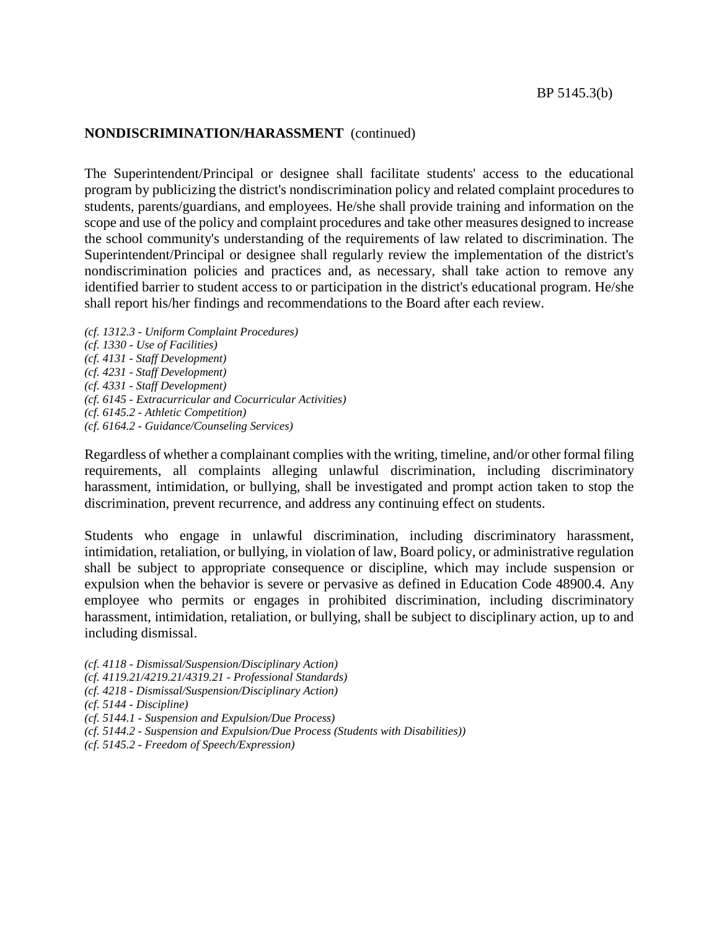The Superintendent/Principal or designee shall facilitate students' access to the educational program by publicizing the district's nondiscrimination policy and related complaint procedures to students, parents/guardians, and employees. He/she shall provide training and information on the scope and use of the policy and complaint procedures and take other measures designed to increase the school community's understanding of the requirements of law related to discrimination. The Superintendent/Principal or designee shall regularly review the implementation of the district's nondiscrimination policies and practices and, as necessary, shall take action to remove any identified barrier to student access to or participation in the district's educational program. He/she shall report his/her findings and recommendations to the Board after each review.

*(cf. 1312.3 - Uniform Complaint Procedures) (cf. 1330 - Use of Facilities) (cf. 4131 - Staff Development) (cf. 4231 - Staff Development) (cf. 4331 - Staff Development) (cf. 6145 - Extracurricular and Cocurricular Activities) (cf. 6145.2 - Athletic Competition) (cf. 6164.2 - Guidance/Counseling Services)*

Regardless of whether a complainant complies with the writing, timeline, and/or other formal filing requirements, all complaints alleging unlawful discrimination, including discriminatory harassment, intimidation, or bullying, shall be investigated and prompt action taken to stop the discrimination, prevent recurrence, and address any continuing effect on students.

Students who engage in unlawful discrimination, including discriminatory harassment, intimidation, retaliation, or bullying, in violation of law, Board policy, or administrative regulation shall be subject to appropriate consequence or discipline, which may include suspension or expulsion when the behavior is severe or pervasive as defined in Education Code 48900.4. Any employee who permits or engages in prohibited discrimination, including discriminatory harassment, intimidation, retaliation, or bullying, shall be subject to disciplinary action, up to and including dismissal.

*(cf. 4118 - Dismissal/Suspension/Disciplinary Action)*

- *(cf. 4119.21/4219.21/4319.21 - Professional Standards)*
- *(cf. 4218 - Dismissal/Suspension/Disciplinary Action)*
- *(cf. 5144 - Discipline)*

- *(cf. 5144.2 - Suspension and Expulsion/Due Process (Students with Disabilities))*
- *(cf. 5145.2 - Freedom of Speech/Expression)*

*<sup>(</sup>cf. 5144.1 - Suspension and Expulsion/Due Process)*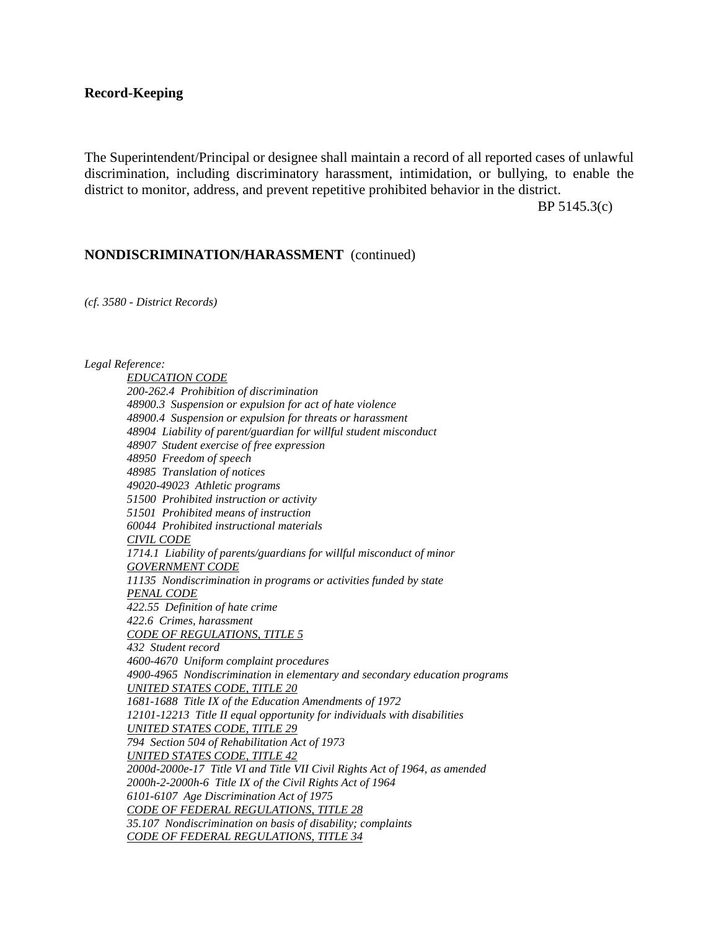#### **Record-Keeping**

The Superintendent/Principal or designee shall maintain a record of all reported cases of unlawful discrimination, including discriminatory harassment, intimidation, or bullying, to enable the district to monitor, address, and prevent repetitive prohibited behavior in the district.

BP 5145.3(c)

#### **NONDISCRIMINATION/HARASSMENT** (continued)

*(cf. 3580 - District Records)*

*Legal Reference:*

*EDUCATION CODE 200-262.4 Prohibition of discrimination 48900.3 Suspension or expulsion for act of hate violence 48900.4 Suspension or expulsion for threats or harassment 48904 Liability of parent/guardian for willful student misconduct 48907 Student exercise of free expression 48950 Freedom of speech 48985 Translation of notices 49020-49023 Athletic programs 51500 Prohibited instruction or activity 51501 Prohibited means of instruction 60044 Prohibited instructional materials CIVIL CODE 1714.1 Liability of parents/guardians for willful misconduct of minor GOVERNMENT CODE 11135 Nondiscrimination in programs or activities funded by state PENAL CODE 422.55 Definition of hate crime 422.6 Crimes, harassment CODE OF REGULATIONS, TITLE 5 432 Student record 4600-4670 Uniform complaint procedures 4900-4965 Nondiscrimination in elementary and secondary education programs UNITED STATES CODE, TITLE 20 1681-1688 Title IX of the Education Amendments of 1972 12101-12213 Title II equal opportunity for individuals with disabilities UNITED STATES CODE, TITLE 29 794 Section 504 of Rehabilitation Act of 1973 UNITED STATES CODE, TITLE 42 2000d-2000e-17 Title VI and Title VII Civil Rights Act of 1964, as amended 2000h-2-2000h-6 Title IX of the Civil Rights Act of 1964 6101-6107 Age Discrimination Act of 1975 CODE OF FEDERAL REGULATIONS, TITLE 28 35.107 Nondiscrimination on basis of disability; complaints CODE OF FEDERAL REGULATIONS, TITLE 34*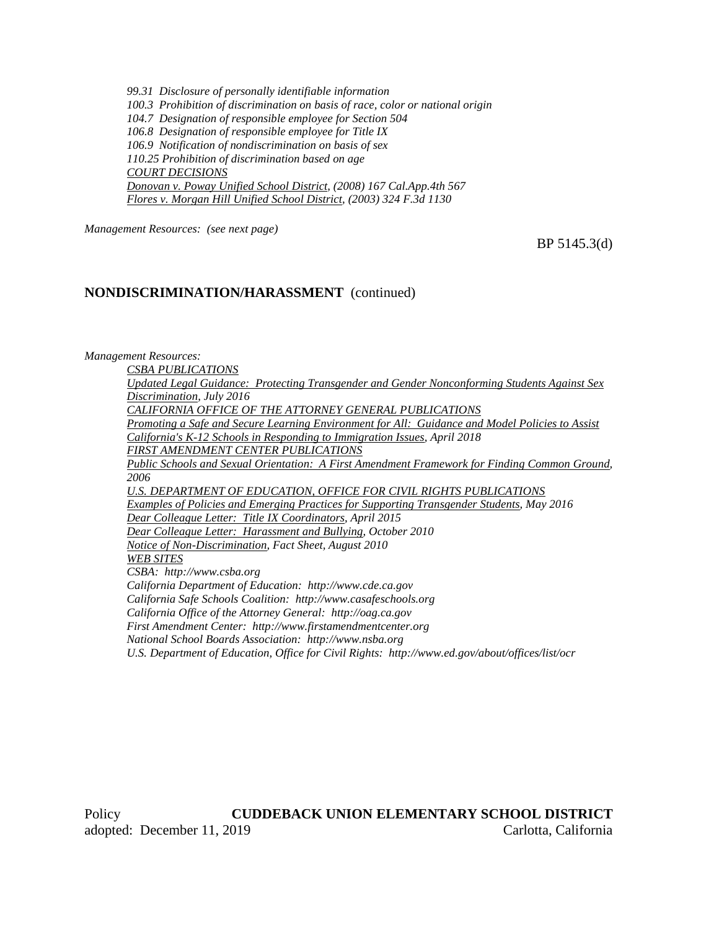*99.31 Disclosure of personally identifiable information 100.3 Prohibition of discrimination on basis of race, color or national origin 104.7 Designation of responsible employee for Section 504 106.8 Designation of responsible employee for Title IX 106.9 Notification of nondiscrimination on basis of sex 110.25 Prohibition of discrimination based on age COURT DECISIONS Donovan v. Poway Unified School District, (2008) 167 Cal.App.4th 567 Flores v. Morgan Hill Unified School District, (2003) 324 F.3d 1130*

*Management Resources: (see next page)*

BP 5145.3(d)

#### **NONDISCRIMINATION/HARASSMENT** (continued)

#### *Management Resources:*

*CSBA PUBLICATIONS Updated Legal Guidance: Protecting Transgender and Gender Nonconforming Students Against Sex Discrimination, July 2016 CALIFORNIA OFFICE OF THE ATTORNEY GENERAL PUBLICATIONS Promoting a Safe and Secure Learning Environment for All: Guidance and Model Policies to Assist California's K-12 Schools in Responding to Immigration Issues, April 2018 FIRST AMENDMENT CENTER PUBLICATIONS Public Schools and Sexual Orientation: A First Amendment Framework for Finding Common Ground, 2006 U.S. DEPARTMENT OF EDUCATION, OFFICE FOR CIVIL RIGHTS PUBLICATIONS Examples of Policies and Emerging Practices for Supporting Transgender Students, May 2016 Dear Colleague Letter: Title IX Coordinators, April 2015 Dear Colleague Letter: Harassment and Bullying, October 2010 Notice of Non-Discrimination, Fact Sheet, August 2010 WEB SITES CSBA: http://www.csba.org California Department of Education: http://www.cde.ca.gov California Safe Schools Coalition: http://www.casafeschools.org California Office of the Attorney General: http://oag.ca.gov First Amendment Center: http://www.firstamendmentcenter.org National School Boards Association: http://www.nsba.org U.S. Department of Education, Office for Civil Rights: http://www.ed.gov/about/offices/list/ocr*

Policy **CUDDEBACK UNION ELEMENTARY SCHOOL DISTRICT** adopted: December 11, 2019 Carlotta, California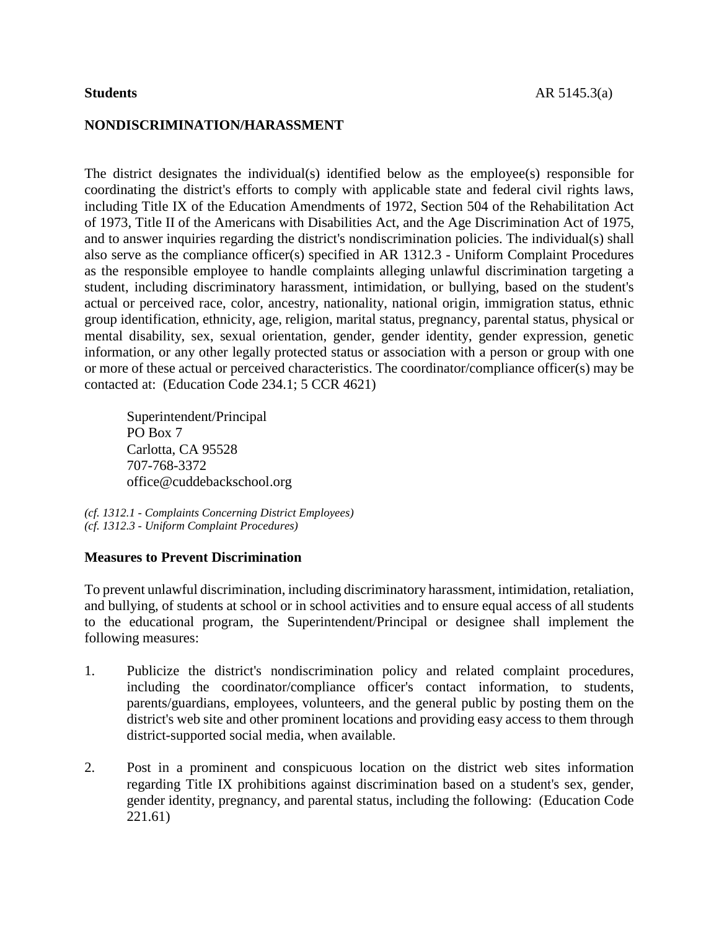#### **NONDISCRIMINATION/HARASSMENT**

The district designates the individual(s) identified below as the employee(s) responsible for coordinating the district's efforts to comply with applicable state and federal civil rights laws, including Title IX of the Education Amendments of 1972, Section 504 of the Rehabilitation Act of 1973, Title II of the Americans with Disabilities Act, and the Age Discrimination Act of 1975, and to answer inquiries regarding the district's nondiscrimination policies. The individual(s) shall also serve as the compliance officer(s) specified in AR 1312.3 - Uniform Complaint Procedures as the responsible employee to handle complaints alleging unlawful discrimination targeting a student, including discriminatory harassment, intimidation, or bullying, based on the student's actual or perceived race, color, ancestry, nationality, national origin, immigration status, ethnic group identification, ethnicity, age, religion, marital status, pregnancy, parental status, physical or mental disability, sex, sexual orientation, gender, gender identity, gender expression, genetic information, or any other legally protected status or association with a person or group with one or more of these actual or perceived characteristics. The coordinator/compliance officer(s) may be contacted at: (Education Code 234.1; 5 CCR 4621)

Superintendent/Principal PO Box 7 Carlotta, CA 95528 707-768-3372 office@cuddebackschool.org

*(cf. 1312.1 - Complaints Concerning District Employees) (cf. 1312.3 - Uniform Complaint Procedures)*

### **Measures to Prevent Discrimination**

To prevent unlawful discrimination, including discriminatory harassment, intimidation, retaliation, and bullying, of students at school or in school activities and to ensure equal access of all students to the educational program, the Superintendent/Principal or designee shall implement the following measures:

- 1. Publicize the district's nondiscrimination policy and related complaint procedures, including the coordinator/compliance officer's contact information, to students, parents/guardians, employees, volunteers, and the general public by posting them on the district's web site and other prominent locations and providing easy access to them through district-supported social media, when available.
- 2. Post in a prominent and conspicuous location on the district web sites information regarding Title IX prohibitions against discrimination based on a student's sex, gender, gender identity, pregnancy, and parental status, including the following: (Education Code 221.61)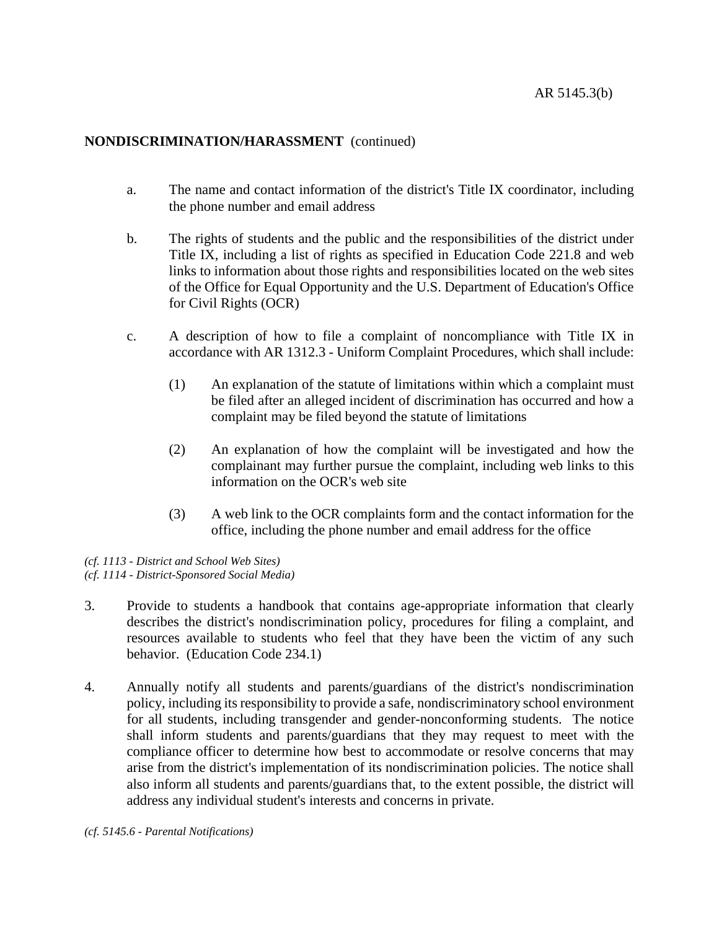- a. The name and contact information of the district's Title IX coordinator, including the phone number and email address
- b. The rights of students and the public and the responsibilities of the district under Title IX, including a list of rights as specified in Education Code 221.8 and web links to information about those rights and responsibilities located on the web sites of the Office for Equal Opportunity and the U.S. Department of Education's Office for Civil Rights (OCR)
- c. A description of how to file a complaint of noncompliance with Title IX in accordance with AR 1312.3 - Uniform Complaint Procedures, which shall include:
	- (1) An explanation of the statute of limitations within which a complaint must be filed after an alleged incident of discrimination has occurred and how a complaint may be filed beyond the statute of limitations
	- (2) An explanation of how the complaint will be investigated and how the complainant may further pursue the complaint, including web links to this information on the OCR's web site
	- (3) A web link to the OCR complaints form and the contact information for the office, including the phone number and email address for the office

*(cf. 1113 - District and School Web Sites) (cf. 1114 - District-Sponsored Social Media)*

- 3. Provide to students a handbook that contains age-appropriate information that clearly describes the district's nondiscrimination policy, procedures for filing a complaint, and resources available to students who feel that they have been the victim of any such behavior. (Education Code 234.1)
- 4. Annually notify all students and parents/guardians of the district's nondiscrimination policy, including its responsibility to provide a safe, nondiscriminatory school environment for all students, including transgender and gender-nonconforming students. The notice shall inform students and parents/guardians that they may request to meet with the compliance officer to determine how best to accommodate or resolve concerns that may arise from the district's implementation of its nondiscrimination policies. The notice shall also inform all students and parents/guardians that, to the extent possible, the district will address any individual student's interests and concerns in private.

*(cf. 5145.6 - Parental Notifications)*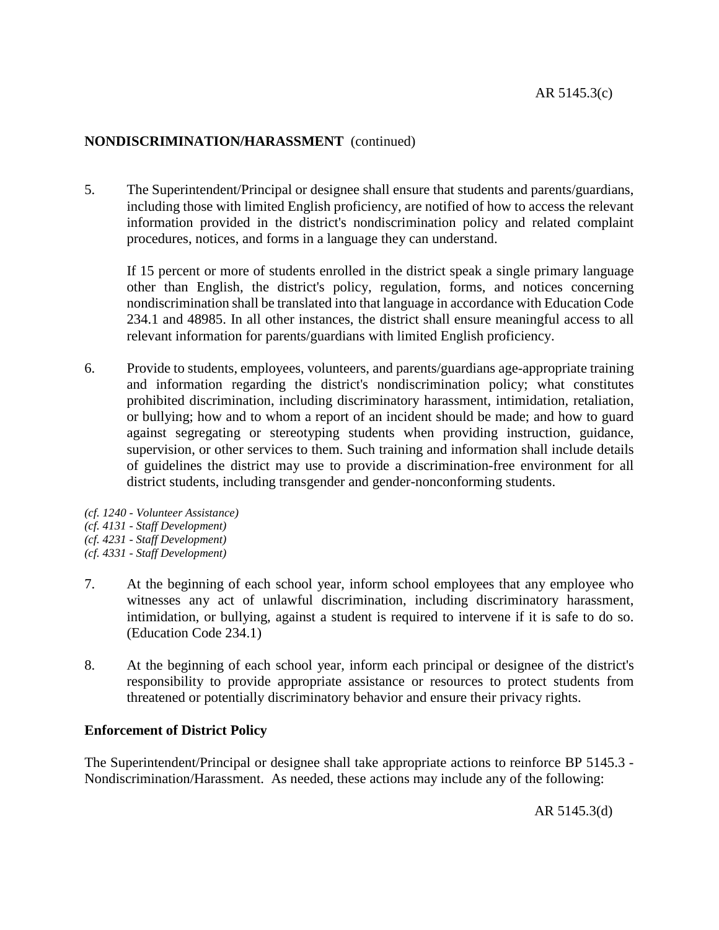5. The Superintendent/Principal or designee shall ensure that students and parents/guardians, including those with limited English proficiency, are notified of how to access the relevant information provided in the district's nondiscrimination policy and related complaint procedures, notices, and forms in a language they can understand.

If 15 percent or more of students enrolled in the district speak a single primary language other than English, the district's policy, regulation, forms, and notices concerning nondiscrimination shall be translated into that language in accordance with Education Code 234.1 and 48985. In all other instances, the district shall ensure meaningful access to all relevant information for parents/guardians with limited English proficiency.

- 6. Provide to students, employees, volunteers, and parents/guardians age-appropriate training and information regarding the district's nondiscrimination policy; what constitutes prohibited discrimination, including discriminatory harassment, intimidation, retaliation, or bullying; how and to whom a report of an incident should be made; and how to guard against segregating or stereotyping students when providing instruction, guidance, supervision, or other services to them. Such training and information shall include details of guidelines the district may use to provide a discrimination-free environment for all district students, including transgender and gender-nonconforming students.
- *(cf. 1240 - Volunteer Assistance) (cf. 4131 - Staff Development) (cf. 4231 - Staff Development)*
- *(cf. 4331 - Staff Development)*
- 7. At the beginning of each school year, inform school employees that any employee who witnesses any act of unlawful discrimination, including discriminatory harassment, intimidation, or bullying, against a student is required to intervene if it is safe to do so. (Education Code 234.1)
- 8. At the beginning of each school year, inform each principal or designee of the district's responsibility to provide appropriate assistance or resources to protect students from threatened or potentially discriminatory behavior and ensure their privacy rights.

### **Enforcement of District Policy**

The Superintendent/Principal or designee shall take appropriate actions to reinforce BP 5145.3 - Nondiscrimination/Harassment. As needed, these actions may include any of the following:

AR 5145.3(d)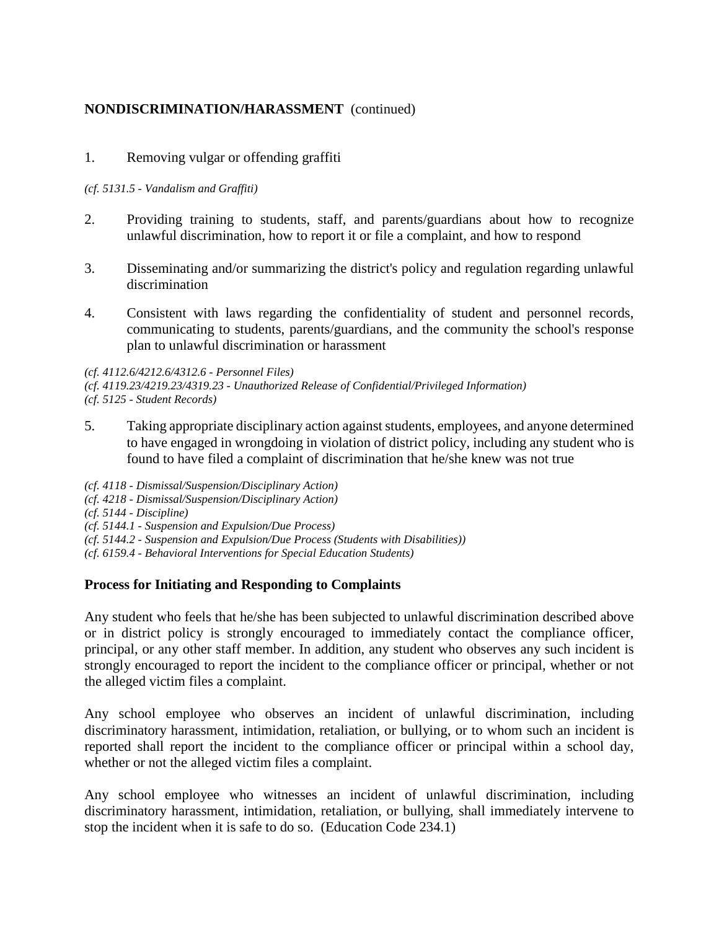# 1. Removing vulgar or offending graffiti

#### *(cf. 5131.5 - Vandalism and Graffiti)*

- 2. Providing training to students, staff, and parents/guardians about how to recognize unlawful discrimination, how to report it or file a complaint, and how to respond
- 3. Disseminating and/or summarizing the district's policy and regulation regarding unlawful discrimination
- 4. Consistent with laws regarding the confidentiality of student and personnel records, communicating to students, parents/guardians, and the community the school's response plan to unlawful discrimination or harassment

*(cf. 4112.6/4212.6/4312.6 - Personnel Files) (cf. 4119.23/4219.23/4319.23 - Unauthorized Release of Confidential/Privileged Information) (cf. 5125 - Student Records)*

5. Taking appropriate disciplinary action against students, employees, and anyone determined to have engaged in wrongdoing in violation of district policy, including any student who is found to have filed a complaint of discrimination that he/she knew was not true

*(cf. 4118 - Dismissal/Suspension/Disciplinary Action) (cf. 4218 - Dismissal/Suspension/Disciplinary Action) (cf. 5144 - Discipline) (cf. 5144.1 - Suspension and Expulsion/Due Process) (cf. 5144.2 - Suspension and Expulsion/Due Process (Students with Disabilities)) (cf. 6159.4 - Behavioral Interventions for Special Education Students)*

# **Process for Initiating and Responding to Complaints**

Any student who feels that he/she has been subjected to unlawful discrimination described above or in district policy is strongly encouraged to immediately contact the compliance officer, principal, or any other staff member. In addition, any student who observes any such incident is strongly encouraged to report the incident to the compliance officer or principal, whether or not the alleged victim files a complaint.

Any school employee who observes an incident of unlawful discrimination, including discriminatory harassment, intimidation, retaliation, or bullying, or to whom such an incident is reported shall report the incident to the compliance officer or principal within a school day, whether or not the alleged victim files a complaint.

Any school employee who witnesses an incident of unlawful discrimination, including discriminatory harassment, intimidation, retaliation, or bullying, shall immediately intervene to stop the incident when it is safe to do so. (Education Code 234.1)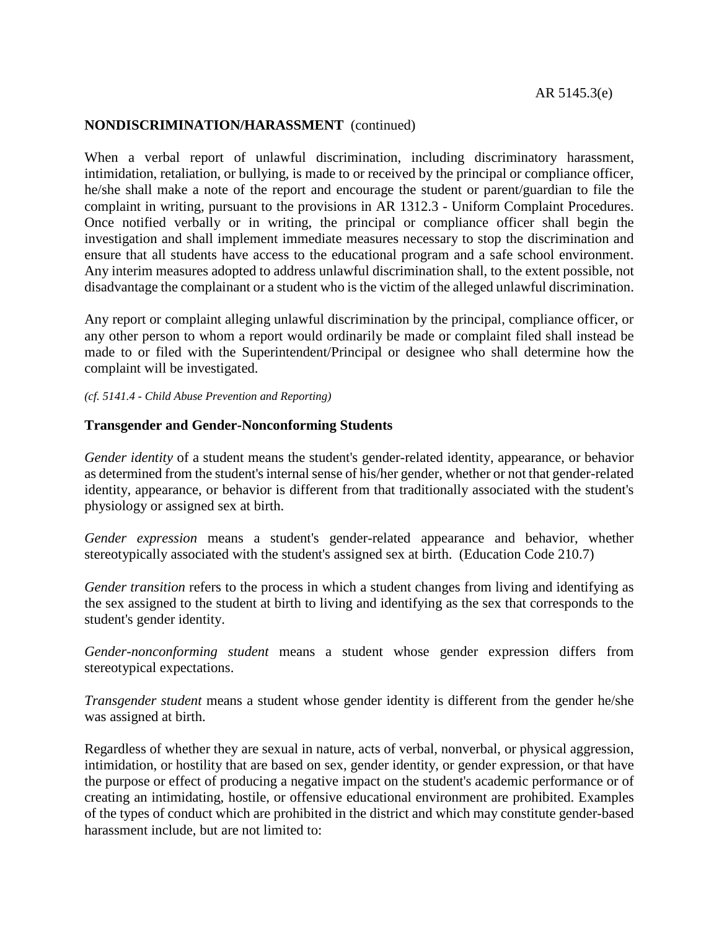When a verbal report of unlawful discrimination, including discriminatory harassment, intimidation, retaliation, or bullying, is made to or received by the principal or compliance officer, he/she shall make a note of the report and encourage the student or parent/guardian to file the complaint in writing, pursuant to the provisions in AR 1312.3 - Uniform Complaint Procedures. Once notified verbally or in writing, the principal or compliance officer shall begin the investigation and shall implement immediate measures necessary to stop the discrimination and ensure that all students have access to the educational program and a safe school environment. Any interim measures adopted to address unlawful discrimination shall, to the extent possible, not disadvantage the complainant or a student who is the victim of the alleged unlawful discrimination.

Any report or complaint alleging unlawful discrimination by the principal, compliance officer, or any other person to whom a report would ordinarily be made or complaint filed shall instead be made to or filed with the Superintendent/Principal or designee who shall determine how the complaint will be investigated.

*(cf. 5141.4 - Child Abuse Prevention and Reporting)*

#### **Transgender and Gender-Nonconforming Students**

*Gender identity* of a student means the student's gender-related identity, appearance, or behavior as determined from the student's internal sense of his/her gender, whether or not that gender-related identity, appearance, or behavior is different from that traditionally associated with the student's physiology or assigned sex at birth.

*Gender expression* means a student's gender-related appearance and behavior, whether stereotypically associated with the student's assigned sex at birth. (Education Code 210.7)

*Gender transition* refers to the process in which a student changes from living and identifying as the sex assigned to the student at birth to living and identifying as the sex that corresponds to the student's gender identity.

*Gender-nonconforming student* means a student whose gender expression differs from stereotypical expectations.

*Transgender student* means a student whose gender identity is different from the gender he/she was assigned at birth.

Regardless of whether they are sexual in nature, acts of verbal, nonverbal, or physical aggression, intimidation, or hostility that are based on sex, gender identity, or gender expression, or that have the purpose or effect of producing a negative impact on the student's academic performance or of creating an intimidating, hostile, or offensive educational environment are prohibited. Examples of the types of conduct which are prohibited in the district and which may constitute gender-based harassment include, but are not limited to: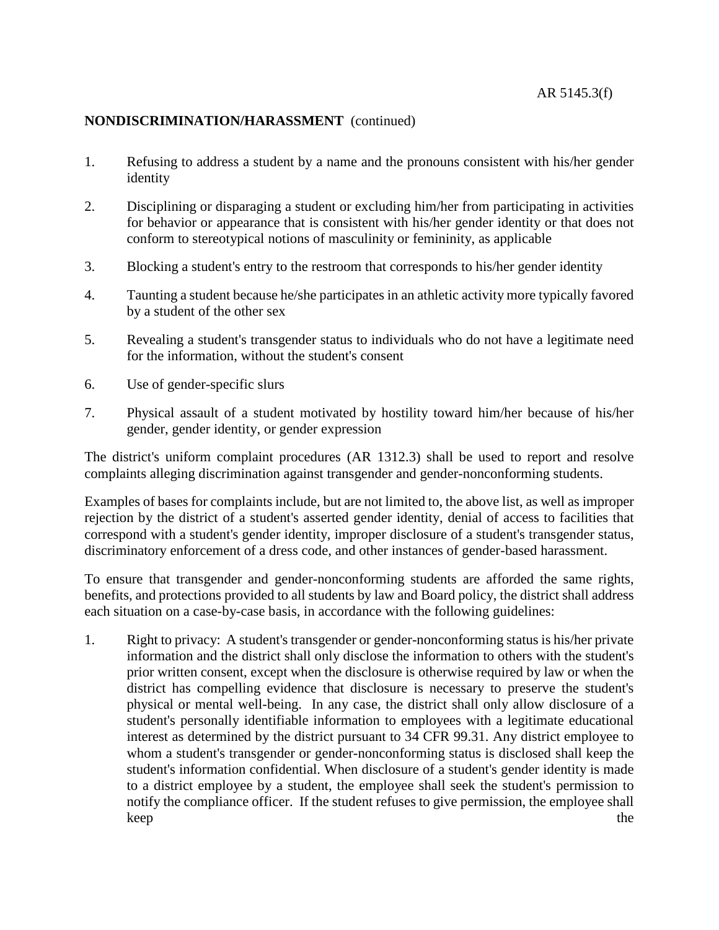- 1. Refusing to address a student by a name and the pronouns consistent with his/her gender identity
- 2. Disciplining or disparaging a student or excluding him/her from participating in activities for behavior or appearance that is consistent with his/her gender identity or that does not conform to stereotypical notions of masculinity or femininity, as applicable
- 3. Blocking a student's entry to the restroom that corresponds to his/her gender identity
- 4. Taunting a student because he/she participates in an athletic activity more typically favored by a student of the other sex
- 5. Revealing a student's transgender status to individuals who do not have a legitimate need for the information, without the student's consent
- 6. Use of gender-specific slurs
- 7. Physical assault of a student motivated by hostility toward him/her because of his/her gender, gender identity, or gender expression

The district's uniform complaint procedures (AR 1312.3) shall be used to report and resolve complaints alleging discrimination against transgender and gender-nonconforming students.

Examples of bases for complaints include, but are not limited to, the above list, as well as improper rejection by the district of a student's asserted gender identity, denial of access to facilities that correspond with a student's gender identity, improper disclosure of a student's transgender status, discriminatory enforcement of a dress code, and other instances of gender-based harassment.

To ensure that transgender and gender-nonconforming students are afforded the same rights, benefits, and protections provided to all students by law and Board policy, the district shall address each situation on a case-by-case basis, in accordance with the following guidelines:

1. Right to privacy: A student's transgender or gender-nonconforming status is his/her private information and the district shall only disclose the information to others with the student's prior written consent, except when the disclosure is otherwise required by law or when the district has compelling evidence that disclosure is necessary to preserve the student's physical or mental well-being. In any case, the district shall only allow disclosure of a student's personally identifiable information to employees with a legitimate educational interest as determined by the district pursuant to 34 CFR 99.31. Any district employee to whom a student's transgender or gender-nonconforming status is disclosed shall keep the student's information confidential. When disclosure of a student's gender identity is made to a district employee by a student, the employee shall seek the student's permission to notify the compliance officer. If the student refuses to give permission, the employee shall keep the state of the state of the state of the state of the state of the state of the state of the state of the state of the state of the state of the state of the state of the state of the state of the state of the state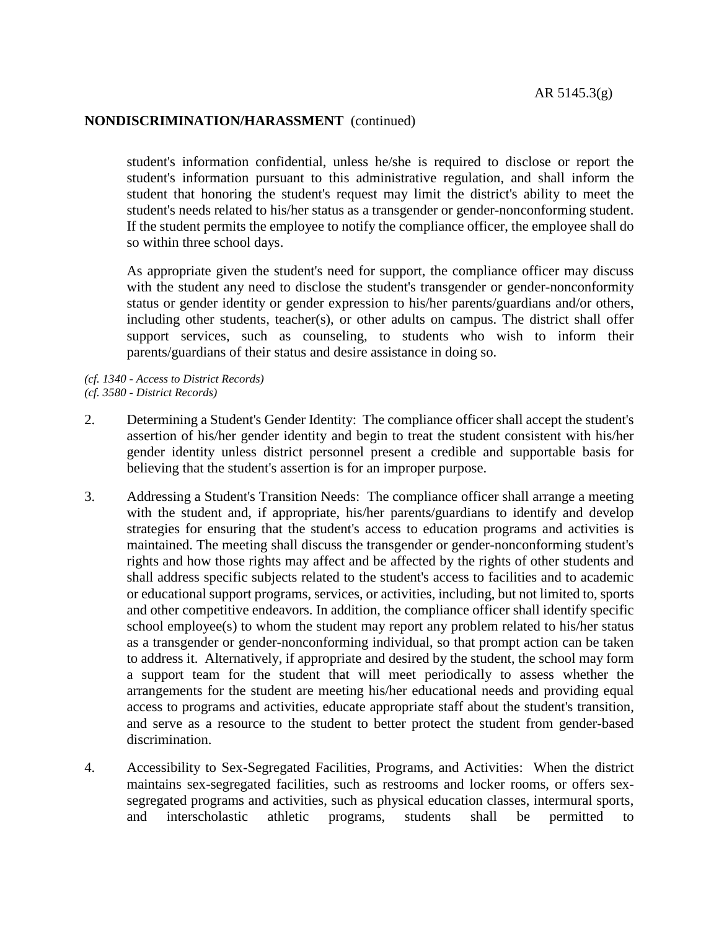student's information confidential, unless he/she is required to disclose or report the student's information pursuant to this administrative regulation, and shall inform the student that honoring the student's request may limit the district's ability to meet the student's needs related to his/her status as a transgender or gender-nonconforming student. If the student permits the employee to notify the compliance officer, the employee shall do so within three school days.

As appropriate given the student's need for support, the compliance officer may discuss with the student any need to disclose the student's transgender or gender-nonconformity status or gender identity or gender expression to his/her parents/guardians and/or others, including other students, teacher(s), or other adults on campus. The district shall offer support services, such as counseling, to students who wish to inform their parents/guardians of their status and desire assistance in doing so.

*(cf. 1340 - Access to District Records) (cf. 3580 - District Records)*

- 2. Determining a Student's Gender Identity: The compliance officer shall accept the student's assertion of his/her gender identity and begin to treat the student consistent with his/her gender identity unless district personnel present a credible and supportable basis for believing that the student's assertion is for an improper purpose.
- 3. Addressing a Student's Transition Needs: The compliance officer shall arrange a meeting with the student and, if appropriate, his/her parents/guardians to identify and develop strategies for ensuring that the student's access to education programs and activities is maintained. The meeting shall discuss the transgender or gender-nonconforming student's rights and how those rights may affect and be affected by the rights of other students and shall address specific subjects related to the student's access to facilities and to academic or educational support programs, services, or activities, including, but not limited to, sports and other competitive endeavors. In addition, the compliance officer shall identify specific school employee(s) to whom the student may report any problem related to his/her status as a transgender or gender-nonconforming individual, so that prompt action can be taken to address it. Alternatively, if appropriate and desired by the student, the school may form a support team for the student that will meet periodically to assess whether the arrangements for the student are meeting his/her educational needs and providing equal access to programs and activities, educate appropriate staff about the student's transition, and serve as a resource to the student to better protect the student from gender-based discrimination.
- 4. Accessibility to Sex-Segregated Facilities, Programs, and Activities: When the district maintains sex-segregated facilities, such as restrooms and locker rooms, or offers sexsegregated programs and activities, such as physical education classes, intermural sports, and interscholastic athletic programs, students shall be permitted to